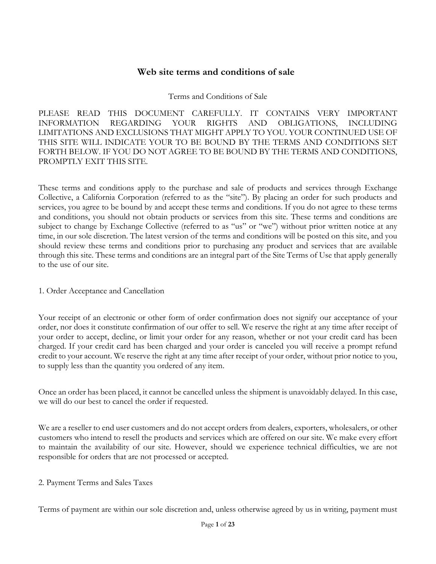# **Web site terms and conditions of sale**

### Terms and Conditions of Sale

PLEASE READ THIS DOCUMENT CAREFULLY. IT CONTAINS VERY IMPORTANT INFORMATION REGARDING YOUR RIGHTS AND OBLIGATIONS, INCLUDING LIMITATIONS AND EXCLUSIONS THAT MIGHT APPLY TO YOU. YOUR CONTINUED USE OF THIS SITE WILL INDICATE YOUR TO BE BOUND BY THE TERMS AND CONDITIONS SET FORTH BELOW. IF YOU DO NOT AGREE TO BE BOUND BY THE TERMS AND CONDITIONS, PROMPTLY EXIT THIS SITE.

These terms and conditions apply to the purchase and sale of products and services through Exchange Collective, a California Corporation (referred to as the "site"). By placing an order for such products and services, you agree to be bound by and accept these terms and conditions. If you do not agree to these terms and conditions, you should not obtain products or services from this site. These terms and conditions are subject to change by Exchange Collective (referred to as "us" or "we") without prior written notice at any time, in our sole discretion. The latest version of the terms and conditions will be posted on this site, and you should review these terms and conditions prior to purchasing any product and services that are available through this site. These terms and conditions are an integral part of the Site Terms of Use that apply generally to the use of our site.

### 1. Order Acceptance and Cancellation

Your receipt of an electronic or other form of order confirmation does not signify our acceptance of your order, nor does it constitute confirmation of our offer to sell. We reserve the right at any time after receipt of your order to accept, decline, or limit your order for any reason, whether or not your credit card has been charged. If your credit card has been charged and your order is canceled you will receive a prompt refund credit to your account. We reserve the right at any time after receipt of your order, without prior notice to you, to supply less than the quantity you ordered of any item.

Once an order has been placed, it cannot be cancelled unless the shipment is unavoidably delayed. In this case, we will do our best to cancel the order if requested.

We are a reseller to end user customers and do not accept orders from dealers, exporters, wholesalers, or other customers who intend to resell the products and services which are offered on our site. We make every effort to maintain the availability of our site. However, should we experience technical difficulties, we are not responsible for orders that are not processed or accepted.

### 2. Payment Terms and Sales Taxes

Terms of payment are within our sole discretion and, unless otherwise agreed by us in writing, payment must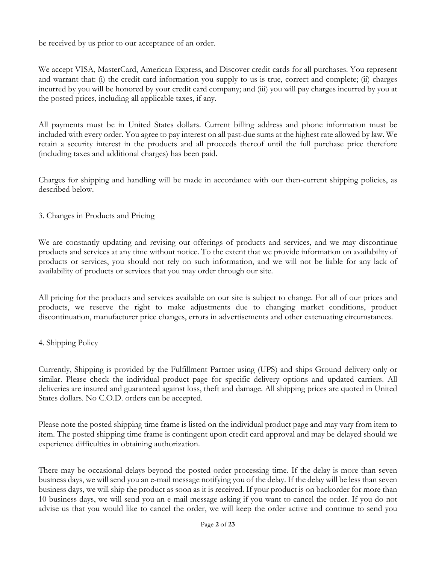be received by us prior to our acceptance of an order.

We accept VISA, MasterCard, American Express, and Discover credit cards for all purchases. You represent and warrant that: (i) the credit card information you supply to us is true, correct and complete; (ii) charges incurred by you will be honored by your credit card company; and (iii) you will pay charges incurred by you at the posted prices, including all applicable taxes, if any.

All payments must be in United States dollars. Current billing address and phone information must be included with every order. You agree to pay interest on all past-due sums at the highest rate allowed by law. We retain a security interest in the products and all proceeds thereof until the full purchase price therefore (including taxes and additional charges) has been paid.

Charges for shipping and handling will be made in accordance with our then-current shipping policies, as described below.

3. Changes in Products and Pricing

We are constantly updating and revising our offerings of products and services, and we may discontinue products and services at any time without notice. To the extent that we provide information on availability of products or services, you should not rely on such information, and we will not be liable for any lack of availability of products or services that you may order through our site.

All pricing for the products and services available on our site is subject to change. For all of our prices and products, we reserve the right to make adjustments due to changing market conditions, product discontinuation, manufacturer price changes, errors in advertisements and other extenuating circumstances.

### 4. Shipping Policy

Currently, Shipping is provided by the Fulfillment Partner using (UPS) and ships Ground delivery only or similar. Please check the individual product page for specific delivery options and updated carriers. All deliveries are insured and guaranteed against loss, theft and damage. All shipping prices are quoted in United States dollars. No C.O.D. orders can be accepted.

Please note the posted shipping time frame is listed on the individual product page and may vary from item to item. The posted shipping time frame is contingent upon credit card approval and may be delayed should we experience difficulties in obtaining authorization.

There may be occasional delays beyond the posted order processing time. If the delay is more than seven business days, we will send you an e-mail message notifying you of the delay. If the delay will be less than seven business days, we will ship the product as soon as it is received. If your product is on backorder for more than 10 business days, we will send you an e-mail message asking if you want to cancel the order. If you do not advise us that you would like to cancel the order, we will keep the order active and continue to send you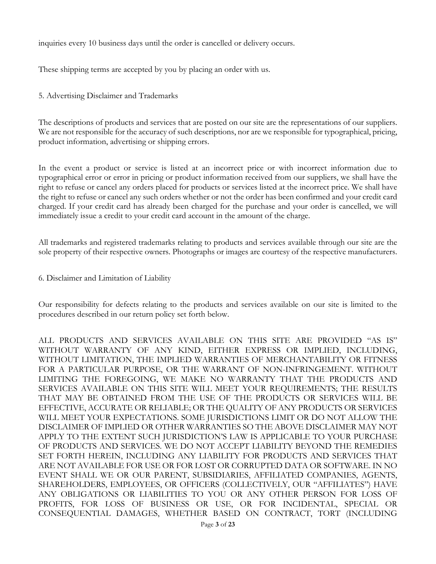inquiries every 10 business days until the order is cancelled or delivery occurs.

These shipping terms are accepted by you by placing an order with us.

5. Advertising Disclaimer and Trademarks

The descriptions of products and services that are posted on our site are the representations of our suppliers. We are not responsible for the accuracy of such descriptions, nor are we responsible for typographical, pricing, product information, advertising or shipping errors.

In the event a product or service is listed at an incorrect price or with incorrect information due to typographical error or error in pricing or product information received from our suppliers, we shall have the right to refuse or cancel any orders placed for products or services listed at the incorrect price. We shall have the right to refuse or cancel any such orders whether or not the order has been confirmed and your credit card charged. If your credit card has already been charged for the purchase and your order is cancelled, we will immediately issue a credit to your credit card account in the amount of the charge.

All trademarks and registered trademarks relating to products and services available through our site are the sole property of their respective owners. Photographs or images are courtesy of the respective manufacturers.

6. Disclaimer and Limitation of Liability

Our responsibility for defects relating to the products and services available on our site is limited to the procedures described in our return policy set forth below.

ALL PRODUCTS AND SERVICES AVAILABLE ON THIS SITE ARE PROVIDED "AS IS" WITHOUT WARRANTY OF ANY KIND, EITHER EXPRESS OR IMPLIED, INCLUDING, WITHOUT LIMITATION, THE IMPLIED WARRANTIES OF MERCHANTABILITY OR FITNESS FOR A PARTICULAR PURPOSE, OR THE WARRANT OF NON-INFRINGEMENT. WITHOUT LIMITING THE FOREGOING, WE MAKE NO WARRANTY THAT THE PRODUCTS AND SERVICES AVAILABLE ON THIS SITE WILL MEET YOUR REQUIREMENTS; THE RESULTS THAT MAY BE OBTAINED FROM THE USE OF THE PRODUCTS OR SERVICES WILL BE EFFECTIVE, ACCURATE OR RELIABLE; OR THE QUALITY OF ANY PRODUCTS OR SERVICES WILL MEET YOUR EXPECTATIONS. SOME JURISDICTIONS LIMIT OR DO NOT ALLOW THE DISCLAIMER OF IMPLIED OR OTHER WARRANTIES SO THE ABOVE DISCLAIMER MAY NOT APPLY TO THE EXTENT SUCH JURISDICTION'S LAW IS APPLICABLE TO YOUR PURCHASE OF PRODUCTS AND SERVICES. WE DO NOT ACCEPT LIABILITY BEYOND THE REMEDIES SET FORTH HEREIN, INCLUDING ANY LIABILITY FOR PRODUCTS AND SERVICES THAT ARE NOT AVAILABLE FOR USE OR FOR LOST OR CORRUPTED DATA OR SOFTWARE. IN NO EVENT SHALL WE OR OUR PARENT, SUBSIDIARIES, AFFILIATED COMPANIES, AGENTS, SHAREHOLDERS, EMPLOYEES, OR OFFICERS (COLLECTIVELY, OUR "AFFILIATES") HAVE ANY OBLIGATIONS OR LIABILITIES TO YOU OR ANY OTHER PERSON FOR LOSS OF PROFITS, FOR LOSS OF BUSINESS OR USE, OR FOR INCIDENTAL, SPECIAL OR CONSEQUENTIAL DAMAGES, WHETHER BASED ON CONTRACT, TORT (INCLUDING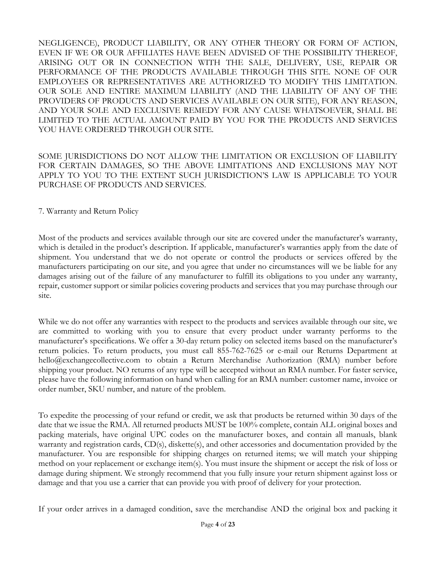NEGLIGENCE), PRODUCT LIABILITY, OR ANY OTHER THEORY OR FORM OF ACTION, EVEN IF WE OR OUR AFFILIATES HAVE BEEN ADVISED OF THE POSSIBILITY THEREOF, ARISING OUT OR IN CONNECTION WITH THE SALE, DELIVERY, USE, REPAIR OR PERFORMANCE OF THE PRODUCTS AVAILABLE THROUGH THIS SITE. NONE OF OUR EMPLOYEES OR REPRESENTATIVES ARE AUTHORIZED TO MODIFY THIS LIMITATION. OUR SOLE AND ENTIRE MAXIMUM LIABILITY (AND THE LIABILITY OF ANY OF THE PROVIDERS OF PRODUCTS AND SERVICES AVAILABLE ON OUR SITE), FOR ANY REASON, AND YOUR SOLE AND EXCLUSIVE REMEDY FOR ANY CAUSE WHATSOEVER, SHALL BE LIMITED TO THE ACTUAL AMOUNT PAID BY YOU FOR THE PRODUCTS AND SERVICES YOU HAVE ORDERED THROUGH OUR SITE.

SOME JURISDICTIONS DO NOT ALLOW THE LIMITATION OR EXCLUSION OF LIABILITY FOR CERTAIN DAMAGES, SO THE ABOVE LIMITATIONS AND EXCLUSIONS MAY NOT APPLY TO YOU TO THE EXTENT SUCH JURISDICTION'S LAW IS APPLICABLE TO YOUR PURCHASE OF PRODUCTS AND SERVICES.

7. Warranty and Return Policy

Most of the products and services available through our site are covered under the manufacturer's warranty, which is detailed in the product's description. If applicable, manufacturer's warranties apply from the date of shipment. You understand that we do not operate or control the products or services offered by the manufacturers participating on our site, and you agree that under no circumstances will we be liable for any damages arising out of the failure of any manufacturer to fulfill its obligations to you under any warranty, repair, customer support or similar policies covering products and services that you may purchase through our site.

While we do not offer any warranties with respect to the products and services available through our site, we are committed to working with you to ensure that every product under warranty performs to the manufacturer's specifications. We offer a 30-day return policy on selected items based on the manufacturer's return policies. To return products, you must call 855-762-7625 or e-mail our Returns Department at hello@exchangecollective.com to obtain a Return Merchandise Authorization (RMA) number before shipping your product. NO returns of any type will be accepted without an RMA number. For faster service, please have the following information on hand when calling for an RMA number: customer name, invoice or order number, SKU number, and nature of the problem.

To expedite the processing of your refund or credit, we ask that products be returned within 30 days of the date that we issue the RMA. All returned products MUST be 100% complete, contain ALL original boxes and packing materials, have original UPC codes on the manufacturer boxes, and contain all manuals, blank warranty and registration cards, CD(s), diskette(s), and other accessories and documentation provided by the manufacturer. You are responsible for shipping charges on returned items; we will match your shipping method on your replacement or exchange item(s). You must insure the shipment or accept the risk of loss or damage during shipment. We strongly recommend that you fully insure your return shipment against loss or damage and that you use a carrier that can provide you with proof of delivery for your protection.

If your order arrives in a damaged condition, save the merchandise AND the original box and packing it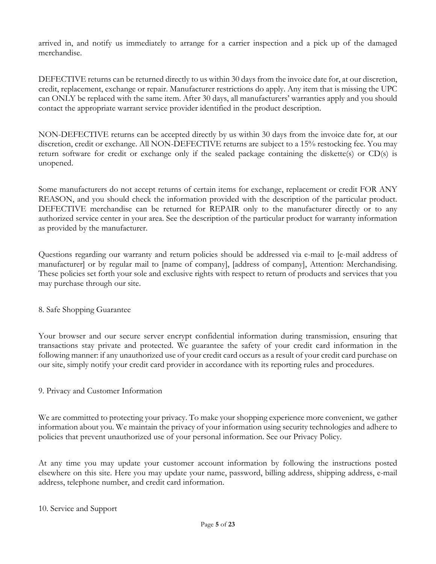arrived in, and notify us immediately to arrange for a carrier inspection and a pick up of the damaged merchandise.

DEFECTIVE returns can be returned directly to us within 30 days from the invoice date for, at our discretion, credit, replacement, exchange or repair. Manufacturer restrictions do apply. Any item that is missing the UPC can ONLY be replaced with the same item. After 30 days, all manufacturers' warranties apply and you should contact the appropriate warrant service provider identified in the product description.

NON-DEFECTIVE returns can be accepted directly by us within 30 days from the invoice date for, at our discretion, credit or exchange. All NON-DEFECTIVE returns are subject to a 15% restocking fee. You may return software for credit or exchange only if the sealed package containing the diskette(s) or CD(s) is unopened.

Some manufacturers do not accept returns of certain items for exchange, replacement or credit FOR ANY REASON, and you should check the information provided with the description of the particular product. DEFECTIVE merchandise can be returned for REPAIR only to the manufacturer directly or to any authorized service center in your area. See the description of the particular product for warranty information as provided by the manufacturer.

Questions regarding our warranty and return policies should be addressed via e-mail to [e-mail address of manufacturer] or by regular mail to [name of company], [address of company], Attention: Merchandising. These policies set forth your sole and exclusive rights with respect to return of products and services that you may purchase through our site.

### 8. Safe Shopping Guarantee

Your browser and our secure server encrypt confidential information during transmission, ensuring that transactions stay private and protected. We guarantee the safety of your credit card information in the following manner: if any unauthorized use of your credit card occurs as a result of your credit card purchase on our site, simply notify your credit card provider in accordance with its reporting rules and procedures.

### 9. Privacy and Customer Information

We are committed to protecting your privacy. To make your shopping experience more convenient, we gather information about you. We maintain the privacy of your information using security technologies and adhere to policies that prevent unauthorized use of your personal information. See our Privacy Policy.

At any time you may update your customer account information by following the instructions posted elsewhere on this site. Here you may update your name, password, billing address, shipping address, e-mail address, telephone number, and credit card information.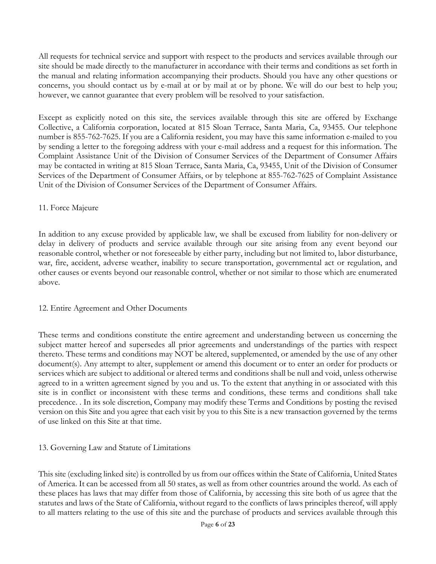All requests for technical service and support with respect to the products and services available through our site should be made directly to the manufacturer in accordance with their terms and conditions as set forth in the manual and relating information accompanying their products. Should you have any other questions or concerns, you should contact us by e-mail at or by mail at or by phone. We will do our best to help you; however, we cannot guarantee that every problem will be resolved to your satisfaction.

Except as explicitly noted on this site, the services available through this site are offered by Exchange Collective, a California corporation, located at 815 Sloan Terrace, Santa Maria, Ca, 93455. Our telephone number is 855-762-7625. If you are a California resident, you may have this same information e-mailed to you by sending a letter to the foregoing address with your e-mail address and a request for this information. The Complaint Assistance Unit of the Division of Consumer Services of the Department of Consumer Affairs may be contacted in writing at 815 Sloan Terrace, Santa Maria, Ca, 93455, Unit of the Division of Consumer Services of the Department of Consumer Affairs, or by telephone at 855-762-7625 of Complaint Assistance Unit of the Division of Consumer Services of the Department of Consumer Affairs.

# 11. Force Majeure

In addition to any excuse provided by applicable law, we shall be excused from liability for non-delivery or delay in delivery of products and service available through our site arising from any event beyond our reasonable control, whether or not foreseeable by either party, including but not limited to, labor disturbance, war, fire, accident, adverse weather, inability to secure transportation, governmental act or regulation, and other causes or events beyond our reasonable control, whether or not similar to those which are enumerated above.

### 12. Entire Agreement and Other Documents

These terms and conditions constitute the entire agreement and understanding between us concerning the subject matter hereof and supersedes all prior agreements and understandings of the parties with respect thereto. These terms and conditions may NOT be altered, supplemented, or amended by the use of any other document(s). Any attempt to alter, supplement or amend this document or to enter an order for products or services which are subject to additional or altered terms and conditions shall be null and void, unless otherwise agreed to in a written agreement signed by you and us. To the extent that anything in or associated with this site is in conflict or inconsistent with these terms and conditions, these terms and conditions shall take precedence. . In its sole discretion, Company may modify these Terms and Conditions by posting the revised version on this Site and you agree that each visit by you to this Site is a new transaction governed by the terms of use linked on this Site at that time.

# 13. Governing Law and Statute of Limitations

This site (excluding linked site) is controlled by us from our offices within the State of California, United States of America. It can be accessed from all 50 states, as well as from other countries around the world. As each of these places has laws that may differ from those of California, by accessing this site both of us agree that the statutes and laws of the State of California, without regard to the conflicts of laws principles thereof, will apply to all matters relating to the use of this site and the purchase of products and services available through this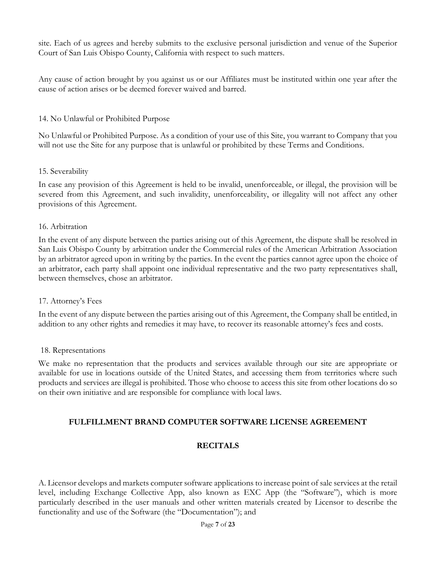site. Each of us agrees and hereby submits to the exclusive personal jurisdiction and venue of the Superior Court of San Luis Obispo County, California with respect to such matters.

Any cause of action brought by you against us or our Affiliates must be instituted within one year after the cause of action arises or be deemed forever waived and barred.

### 14. No Unlawful or Prohibited Purpose

No Unlawful or Prohibited Purpose. As a condition of your use of this Site, you warrant to Company that you will not use the Site for any purpose that is unlawful or prohibited by these Terms and Conditions.

### 15. Severability

In case any provision of this Agreement is held to be invalid, unenforceable, or illegal, the provision will be severed from this Agreement, and such invalidity, unenforceability, or illegality will not affect any other provisions of this Agreement.

### 16. Arbitration

In the event of any dispute between the parties arising out of this Agreement, the dispute shall be resolved in San Luis Obispo County by arbitration under the Commercial rules of the American Arbitration Association by an arbitrator agreed upon in writing by the parties. In the event the parties cannot agree upon the choice of an arbitrator, each party shall appoint one individual representative and the two party representatives shall, between themselves, chose an arbitrator.

### 17. Attorney's Fees

In the event of any dispute between the parties arising out of this Agreement, the Company shall be entitled, in addition to any other rights and remedies it may have, to recover its reasonable attorney's fees and costs.

### 18. Representations

We make no representation that the products and services available through our site are appropriate or available for use in locations outside of the United States, and accessing them from territories where such products and services are illegal is prohibited. Those who choose to access this site from other locations do so on their own initiative and are responsible for compliance with local laws.

# **FULFILLMENT BRAND COMPUTER SOFTWARE LICENSE AGREEMENT**

# **RECITALS**

A. Licensor develops and markets computer software applications to increase point of sale services at the retail level, including Exchange Collective App, also known as EXC App (the "Software"), which is more particularly described in the user manuals and other written materials created by Licensor to describe the functionality and use of the Software (the "Documentation"); and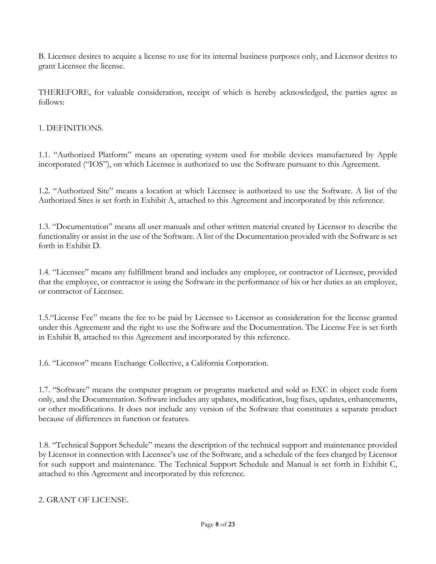B. Licensee desires to acquire a license to use for its internal business purposes only, and Licensor desires to grant Licensee the license.

THEREFORE, for valuable consideration, receipt of which is hereby acknowledged, the parties agree as follows:

### 1. DEFINITIONS.

1.1. "Authorized Platform" means an operating system used for mobile devices manufactured by Apple incorporated ("IOS"), on which Licensee is authorized to use the Software pursuant to this Agreement.

1.2. "Authorized Site" means a location at which Licensee is authorized to use the Software. A list of the Authorized Sites is set forth in Exhibit A, attached to this Agreement and incorporated by this reference.

1.3. "Documentation" means all user manuals and other written material created by Licensor to describe the functionality or assist in the use of the Software. A list of the Documentation provided with the Software is set forth in Exhibit D.

1.4. "Licensee" means any fulfillment brand and includes any employee, or contractor of Licensee, provided that the employee, or contractor is using the Software in the performance of his or her duties as an employee, or contractor of Licensee.

1.5."License Fee" means the fee to be paid by Licensee to Licensor as consideration for the license granted under this Agreement and the right to use the Software and the Documentation. The License Fee is set forth in Exhibit B, attached to this Agreement and incorporated by this reference.

1.6. "Licensor" means Exchange Collective, a California Corporation.

1.7. "Software" means the computer program or programs marketed and sold as EXC in object code form only, and the Documentation. Software includes any updates, modification, bug fixes, updates, enhancements, or other modifications. It does not include any version of the Software that constitutes a separate product because of differences in function or features.

1.8. "Technical Support Schedule" means the description of the technical support and maintenance provided by Licensor in connection with Licensee's use of the Software, and a schedule of the fees charged by Licensor for such support and maintenance. The Technical Support Schedule and Manual is set forth in Exhibit C, attached to this Agreement and incorporated by this reference.

### 2. GRANT OF LICENSE.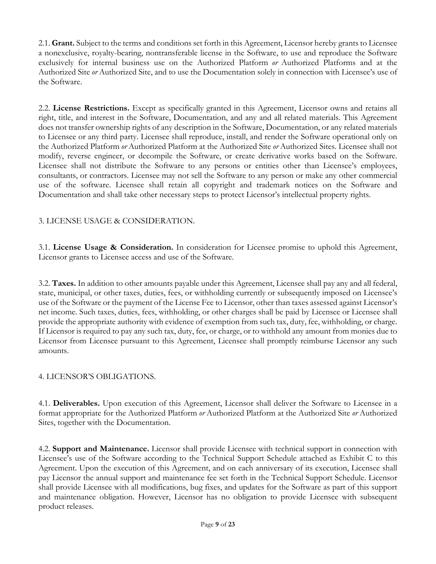2.1. **Grant.** Subject to the terms and conditions set forth in this Agreement, Licensor hereby grants to Licensee a nonexclusive, royalty-bearing, nontransferable license in the Software, to use and reproduce the Software exclusively for internal business use on the Authorized Platform *or* Authorized Platforms and at the Authorized Site *or* Authorized Site, and to use the Documentation solely in connection with Licensee's use of the Software.

2.2. **License Restrictions.** Except as specifically granted in this Agreement, Licensor owns and retains all right, title, and interest in the Software, Documentation, and any and all related materials. This Agreement does not transfer ownership rights of any description in the Software, Documentation, or any related materials to Licensee or any third party. Licensee shall reproduce, install, and render the Software operational only on the Authorized Platform *or* Authorized Platform at the Authorized Site *or* Authorized Sites. Licensee shall not modify, reverse engineer, or decompile the Software, or create derivative works based on the Software. Licensee shall not distribute the Software to any persons or entities other than Licensee's employees, consultants, or contractors. Licensee may not sell the Software to any person or make any other commercial use of the software. Licensee shall retain all copyright and trademark notices on the Software and Documentation and shall take other necessary steps to protect Licensor's intellectual property rights.

# 3. LICENSE USAGE & CONSIDERATION.

3.1. **License Usage & Consideration.** In consideration for Licensee promise to uphold this Agreement, Licensor grants to Licensee access and use of the Software.

3.2. **Taxes.** In addition to other amounts payable under this Agreement, Licensee shall pay any and all federal, state, municipal, or other taxes, duties, fees, or withholding currently or subsequently imposed on Licensee's use of the Software or the payment of the License Fee to Licensor, other than taxes assessed against Licensor's net income. Such taxes, duties, fees, withholding, or other charges shall be paid by Licensee or Licensee shall provide the appropriate authority with evidence of exemption from such tax, duty, fee, withholding, or charge. If Licensor is required to pay any such tax, duty, fee, or charge, or to withhold any amount from monies due to Licensor from Licensee pursuant to this Agreement, Licensee shall promptly reimburse Licensor any such amounts.

### 4. LICENSOR'S OBLIGATIONS.

4.1. **Deliverables.** Upon execution of this Agreement, Licensor shall deliver the Software to Licensee in a format appropriate for the Authorized Platform *or* Authorized Platform at the Authorized Site *or* Authorized Sites, together with the Documentation.

4.2. **Support and Maintenance.** Licensor shall provide Licensee with technical support in connection with Licensee's use of the Software according to the Technical Support Schedule attached as Exhibit C to this Agreement. Upon the execution of this Agreement, and on each anniversary of its execution, Licensee shall pay Licensor the annual support and maintenance fee set forth in the Technical Support Schedule. Licensor shall provide Licensee with all modifications, bug fixes, and updates for the Software as part of this support and maintenance obligation. However, Licensor has no obligation to provide Licensee with subsequent product releases.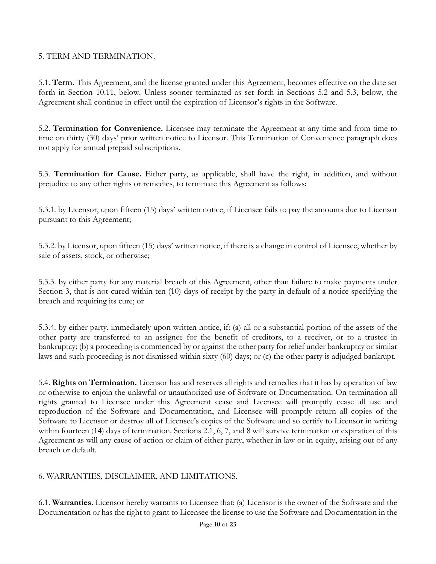### 5. TERM AND TERMINATION.

5.1. **Term.** This Agreement, and the license granted under this Agreement, becomes effective on the date set forth in Section 10.11, below. Unless sooner terminated as set forth in Sections 5.2 and 5.3, below, the Agreement shall continue in effect until the expiration of Licensor's rights in the Software.

5.2. **Termination for Convenience.** Licensee may terminate the Agreement at any time and from time to time on thirty (30) days' prior written notice to Licensor. This Termination of Convenience paragraph does not apply for annual prepaid subscriptions.

5.3. **Termination for Cause.** Either party, as applicable, shall have the right, in addition, and without prejudice to any other rights or remedies, to terminate this Agreement as follows:

5.3.1. by Licensor, upon fifteen (15) days' written notice, if Licensee fails to pay the amounts due to Licensor pursuant to this Agreement;

5.3.2. by Licensor, upon fifteen (15) days' written notice, if there is a change in control of Licensee, whether by sale of assets, stock, or otherwise;

5.3.3. by either party for any material breach of this Agreement, other than failure to make payments under Section 3, that is not cured within ten (10) days of receipt by the party in default of a notice specifying the breach and requiring its cure; or

5.3.4. by either party, immediately upon written notice, if: (a) all or a substantial portion of the assets of the other party are transferred to an assignee for the benefit of creditors, to a receiver, or to a trustee in bankruptcy; (b) a proceeding is commenced by or against the other party for relief under bankruptcy or similar laws and such proceeding is not dismissed within sixty (60) days; or (c) the other party is adjudged bankrupt.

5.4. **Rights on Termination.** Licensor has and reserves all rights and remedies that it has by operation of law or otherwise to enjoin the unlawful or unauthorized use of Software or Documentation. On termination all rights granted to Licensee under this Agreement cease and Licensee will promptly cease all use and reproduction of the Software and Documentation, and Licensee will promptly return all copies of the Software to Licensor or destroy all of Licensee's copies of the Software and so certify to Licensor in writing within fourteen (14) days of termination. Sections 2.1, 6, 7, and 8 will survive termination or expiration of this Agreement as will any cause of action or claim of either party, whether in law or in equity, arising out of any breach or default.

# 6. WARRANTIES, DISCLAIMER, AND LIMITATIONS.

6.1. **Warranties.** Licensor hereby warrants to Licensee that: (a) Licensor is the owner of the Software and the Documentation or has the right to grant to Licensee the license to use the Software and Documentation in the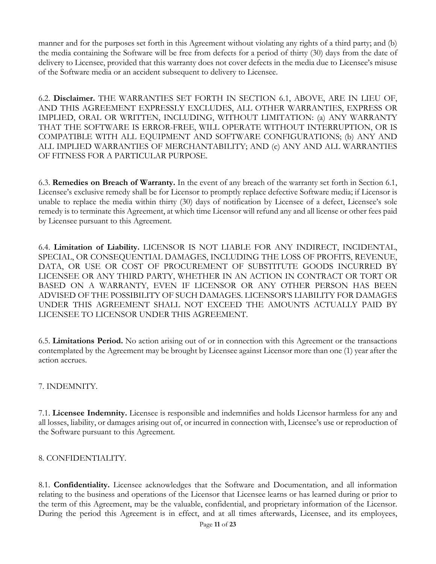manner and for the purposes set forth in this Agreement without violating any rights of a third party; and (b) the media containing the Software will be free from defects for a period of thirty (30) days from the date of delivery to Licensee, provided that this warranty does not cover defects in the media due to Licensee's misuse of the Software media or an accident subsequent to delivery to Licensee.

6.2. **Disclaimer.** THE WARRANTIES SET FORTH IN SECTION 6.1, ABOVE, ARE IN LIEU OF, AND THIS AGREEMENT EXPRESSLY EXCLUDES, ALL OTHER WARRANTIES, EXPRESS OR IMPLIED, ORAL OR WRITTEN, INCLUDING, WITHOUT LIMITATION: (a) ANY WARRANTY THAT THE SOFTWARE IS ERROR-FREE, WILL OPERATE WITHOUT INTERRUPTION, OR IS COMPATIBLE WITH ALL EQUIPMENT AND SOFTWARE CONFIGURATIONS; (b) ANY AND ALL IMPLIED WARRANTIES OF MERCHANTABILITY; AND (c) ANY AND ALL WARRANTIES OF FITNESS FOR A PARTICULAR PURPOSE.

6.3. **Remedies on Breach of Warranty.** In the event of any breach of the warranty set forth in Section 6.1, Licensee's exclusive remedy shall be for Licensor to promptly replace defective Software media; if Licensor is unable to replace the media within thirty (30) days of notification by Licensee of a defect, Licensee's sole remedy is to terminate this Agreement, at which time Licensor will refund any and all license or other fees paid by Licensee pursuant to this Agreement.

6.4. **Limitation of Liability.** LICENSOR IS NOT LIABLE FOR ANY INDIRECT, INCIDENTAL, SPECIAL, OR CONSEQUENTIAL DAMAGES, INCLUDING THE LOSS OF PROFITS, REVENUE, DATA, OR USE OR COST OF PROCUREMENT OF SUBSTITUTE GOODS INCURRED BY LICENSEE OR ANY THIRD PARTY, WHETHER IN AN ACTION IN CONTRACT OR TORT OR BASED ON A WARRANTY, EVEN IF LICENSOR OR ANY OTHER PERSON HAS BEEN ADVISED OF THE POSSIBILITY OF SUCH DAMAGES. LICENSOR'S LIABILITY FOR DAMAGES UNDER THIS AGREEMENT SHALL NOT EXCEED THE AMOUNTS ACTUALLY PAID BY LICENSEE TO LICENSOR UNDER THIS AGREEMENT.

6.5. **Limitations Period.** No action arising out of or in connection with this Agreement or the transactions contemplated by the Agreement may be brought by Licensee against Licensor more than one (1) year after the action accrues.

# 7. INDEMNITY.

7.1. **Licensee Indemnity.** Licensee is responsible and indemnifies and holds Licensor harmless for any and all losses, liability, or damages arising out of, or incurred in connection with, Licensee's use or reproduction of the Software pursuant to this Agreement.

# 8. CONFIDENTIALITY.

8.1. **Confidentiality.** Licensee acknowledges that the Software and Documentation, and all information relating to the business and operations of the Licensor that Licensee learns or has learned during or prior to the term of this Agreement, may be the valuable, confidential, and proprietary information of the Licensor. During the period this Agreement is in effect, and at all times afterwards, Licensee, and its employees,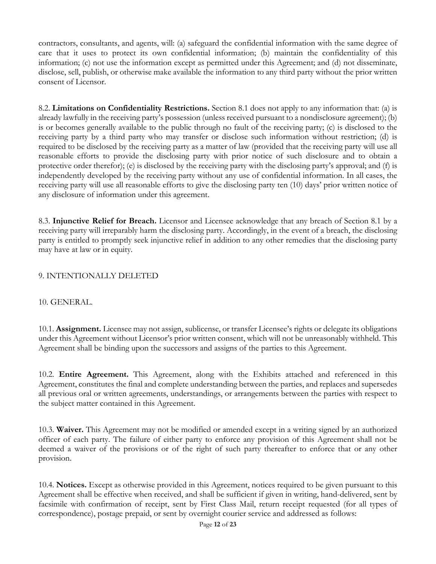contractors, consultants, and agents, will: (a) safeguard the confidential information with the same degree of care that it uses to protect its own confidential information; (b) maintain the confidentiality of this information; (c) not use the information except as permitted under this Agreement; and (d) not disseminate, disclose, sell, publish, or otherwise make available the information to any third party without the prior written consent of Licensor.

8.2. **Limitations on Confidentiality Restrictions.** Section 8.1 does not apply to any information that: (a) is already lawfully in the receiving party's possession (unless received pursuant to a nondisclosure agreement); (b) is or becomes generally available to the public through no fault of the receiving party; (c) is disclosed to the receiving party by a third party who may transfer or disclose such information without restriction; (d) is required to be disclosed by the receiving party as a matter of law (provided that the receiving party will use all reasonable efforts to provide the disclosing party with prior notice of such disclosure and to obtain a protective order therefor); (e) is disclosed by the receiving party with the disclosing party's approval; and (f) is independently developed by the receiving party without any use of confidential information. In all cases, the receiving party will use all reasonable efforts to give the disclosing party ten (10) days' prior written notice of any disclosure of information under this agreement.

8.3. **Injunctive Relief for Breach.** Licensor and Licensee acknowledge that any breach of Section 8.1 by a receiving party will irreparably harm the disclosing party. Accordingly, in the event of a breach, the disclosing party is entitled to promptly seek injunctive relief in addition to any other remedies that the disclosing party may have at law or in equity.

# 9. INTENTIONALLY DELETED

### 10. GENERAL.

10.1. **Assignment.** Licensee may not assign, sublicense, or transfer Licensee's rights or delegate its obligations under this Agreement without Licensor's prior written consent, which will not be unreasonably withheld. This Agreement shall be binding upon the successors and assigns of the parties to this Agreement.

10.2. **Entire Agreement.** This Agreement, along with the Exhibits attached and referenced in this Agreement, constitutes the final and complete understanding between the parties, and replaces and supersedes all previous oral or written agreements, understandings, or arrangements between the parties with respect to the subject matter contained in this Agreement.

10.3. **Waiver.** This Agreement may not be modified or amended except in a writing signed by an authorized officer of each party. The failure of either party to enforce any provision of this Agreement shall not be deemed a waiver of the provisions or of the right of such party thereafter to enforce that or any other provision.

10.4. **Notices.** Except as otherwise provided in this Agreement, notices required to be given pursuant to this Agreement shall be effective when received, and shall be sufficient if given in writing, hand-delivered, sent by facsimile with confirmation of receipt, sent by First Class Mail, return receipt requested (for all types of correspondence), postage prepaid, or sent by overnight courier service and addressed as follows: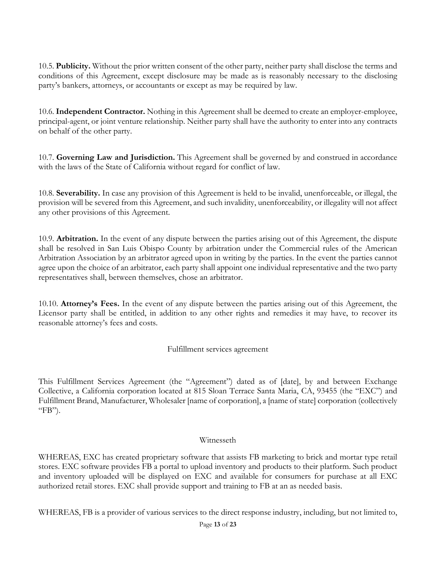10.5. **Publicity.** Without the prior written consent of the other party, neither party shall disclose the terms and conditions of this Agreement, except disclosure may be made as is reasonably necessary to the disclosing party's bankers, attorneys, or accountants or except as may be required by law.

10.6. **Independent Contractor.** Nothing in this Agreement shall be deemed to create an employer-employee, principal-agent, or joint venture relationship. Neither party shall have the authority to enter into any contracts on behalf of the other party.

10.7. **Governing Law and Jurisdiction.** This Agreement shall be governed by and construed in accordance with the laws of the State of California without regard for conflict of law.

10.8. **Severability.** In case any provision of this Agreement is held to be invalid, unenforceable, or illegal, the provision will be severed from this Agreement, and such invalidity, unenforceability, or illegality will not affect any other provisions of this Agreement.

10.9. **Arbitration.** In the event of any dispute between the parties arising out of this Agreement, the dispute shall be resolved in San Luis Obispo County by arbitration under the Commercial rules of the American Arbitration Association by an arbitrator agreed upon in writing by the parties. In the event the parties cannot agree upon the choice of an arbitrator, each party shall appoint one individual representative and the two party representatives shall, between themselves, chose an arbitrator.

10.10. **Attorney's Fees.** In the event of any dispute between the parties arising out of this Agreement, the Licensor party shall be entitled, in addition to any other rights and remedies it may have, to recover its reasonable attorney's fees and costs.

Fulfillment services agreement

This Fulfillment Services Agreement (the "Agreement") dated as of [date], by and between Exchange Collective, a California corporation located at 815 Sloan Terrace Santa Maria, CA, 93455 (the "EXC") and Fulfillment Brand, Manufacturer, Wholesaler [name of corporation], a [name of state] corporation (collectively " $FB$ ").

### Witnesseth

WHEREAS, EXC has created proprietary software that assists FB marketing to brick and mortar type retail stores. EXC software provides FB a portal to upload inventory and products to their platform. Such product and inventory uploaded will be displayed on EXC and available for consumers for purchase at all EXC authorized retail stores. EXC shall provide support and training to FB at an as needed basis.

WHEREAS, FB is a provider of various services to the direct response industry, including, but not limited to,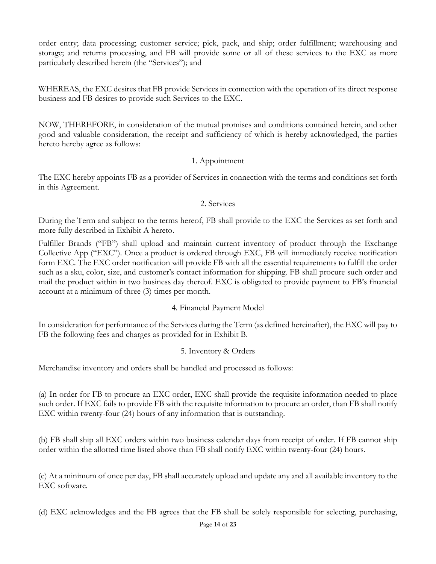order entry; data processing; customer service; pick, pack, and ship; order fulfillment; warehousing and storage; and returns processing, and FB will provide some or all of these services to the EXC as more particularly described herein (the "Services"); and

WHEREAS, the EXC desires that FB provide Services in connection with the operation of its direct response business and FB desires to provide such Services to the EXC.

NOW, THEREFORE, in consideration of the mutual promises and conditions contained herein, and other good and valuable consideration, the receipt and sufficiency of which is hereby acknowledged, the parties hereto hereby agree as follows:

# 1. Appointment

The EXC hereby appoints FB as a provider of Services in connection with the terms and conditions set forth in this Agreement.

### 2. Services

During the Term and subject to the terms hereof, FB shall provide to the EXC the Services as set forth and more fully described in Exhibit A hereto.

Fulfiller Brands ("FB") shall upload and maintain current inventory of product through the Exchange Collective App ("EXC"). Once a product is ordered through EXC, FB will immediately receive notification form EXC. The EXC order notification will provide FB with all the essential requirements to fulfill the order such as a sku, color, size, and customer's contact information for shipping. FB shall procure such order and mail the product within in two business day thereof. EXC is obligated to provide payment to FB's financial account at a minimum of three (3) times per month.

# 4. Financial Payment Model

In consideration for performance of the Services during the Term (as defined hereinafter), the EXC will pay to FB the following fees and charges as provided for in Exhibit B.

### 5. Inventory & Orders

Merchandise inventory and orders shall be handled and processed as follows:

(a) In order for FB to procure an EXC order, EXC shall provide the requisite information needed to place such order. If EXC fails to provide FB with the requisite information to procure an order, than FB shall notify EXC within twenty-four (24) hours of any information that is outstanding.

(b) FB shall ship all EXC orders within two business calendar days from receipt of order. If FB cannot ship order within the allotted time listed above than FB shall notify EXC within twenty-four (24) hours.

(c) At a minimum of once per day, FB shall accurately upload and update any and all available inventory to the EXC software.

(d) EXC acknowledges and the FB agrees that the FB shall be solely responsible for selecting, purchasing,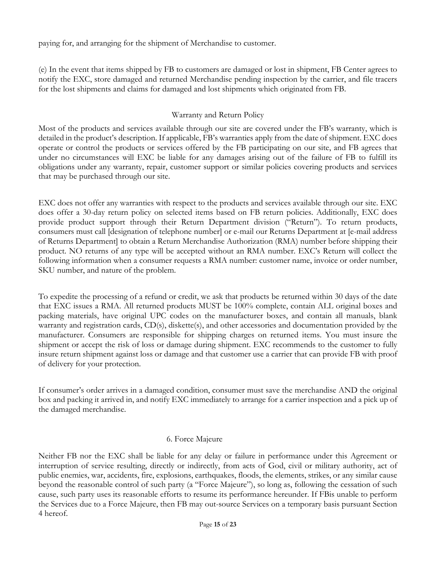paying for, and arranging for the shipment of Merchandise to customer.

(e) In the event that items shipped by FB to customers are damaged or lost in shipment, FB Center agrees to notify the EXC, store damaged and returned Merchandise pending inspection by the carrier, and file tracers for the lost shipments and claims for damaged and lost shipments which originated from FB.

### Warranty and Return Policy

Most of the products and services available through our site are covered under the FB's warranty, which is detailed in the product's description. If applicable, FB's warranties apply from the date of shipment. EXC does operate or control the products or services offered by the FB participating on our site, and FB agrees that under no circumstances will EXC be liable for any damages arising out of the failure of FB to fulfill its obligations under any warranty, repair, customer support or similar policies covering products and services that may be purchased through our site.

EXC does not offer any warranties with respect to the products and services available through our site. EXC does offer a 30-day return policy on selected items based on FB return policies. Additionally, EXC does provide product support through their Return Department division ("Return"). To return products, consumers must call [designation of telephone number] or e-mail our Returns Department at [e-mail address of Returns Department] to obtain a Return Merchandise Authorization (RMA) number before shipping their product. NO returns of any type will be accepted without an RMA number. EXC's Return will collect the following information when a consumer requests a RMA number: customer name, invoice or order number, SKU number, and nature of the problem.

To expedite the processing of a refund or credit, we ask that products be returned within 30 days of the date that EXC issues a RMA. All returned products MUST be 100% complete, contain ALL original boxes and packing materials, have original UPC codes on the manufacturer boxes, and contain all manuals, blank warranty and registration cards,  $CD(s)$ , diskette(s), and other accessories and documentation provided by the manufacturer. Consumers are responsible for shipping charges on returned items. You must insure the shipment or accept the risk of loss or damage during shipment. EXC recommends to the customer to fully insure return shipment against loss or damage and that customer use a carrier that can provide FB with proof of delivery for your protection.

If consumer's order arrives in a damaged condition, consumer must save the merchandise AND the original box and packing it arrived in, and notify EXC immediately to arrange for a carrier inspection and a pick up of the damaged merchandise.

### 6. Force Majeure

Neither FB nor the EXC shall be liable for any delay or failure in performance under this Agreement or interruption of service resulting, directly or indirectly, from acts of God, civil or military authority, act of public enemies, war, accidents, fire, explosions, earthquakes, floods, the elements, strikes, or any similar cause beyond the reasonable control of such party (a "Force Majeure"), so long as, following the cessation of such cause, such party uses its reasonable efforts to resume its performance hereunder. If FBis unable to perform the Services due to a Force Majeure, then FB may out-source Services on a temporary basis pursuant Section 4 hereof.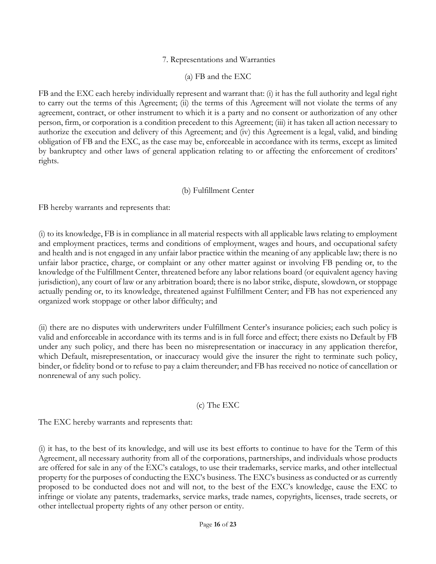### 7. Representations and Warranties

### (a) FB and the EXC

FB and the EXC each hereby individually represent and warrant that: (i) it has the full authority and legal right to carry out the terms of this Agreement; (ii) the terms of this Agreement will not violate the terms of any agreement, contract, or other instrument to which it is a party and no consent or authorization of any other person, firm, or corporation is a condition precedent to this Agreement; (iii) it has taken all action necessary to authorize the execution and delivery of this Agreement; and (iv) this Agreement is a legal, valid, and binding obligation of FB and the EXC, as the case may be, enforceable in accordance with its terms, except as limited by bankruptcy and other laws of general application relating to or affecting the enforcement of creditors' rights.

#### (b) Fulfillment Center

FB hereby warrants and represents that:

(i) to its knowledge, FB is in compliance in all material respects with all applicable laws relating to employment and employment practices, terms and conditions of employment, wages and hours, and occupational safety and health and is not engaged in any unfair labor practice within the meaning of any applicable law; there is no unfair labor practice, charge, or complaint or any other matter against or involving FB pending or, to the knowledge of the Fulfillment Center, threatened before any labor relations board (or equivalent agency having jurisdiction), any court of law or any arbitration board; there is no labor strike, dispute, slowdown, or stoppage actually pending or, to its knowledge, threatened against Fulfillment Center; and FB has not experienced any organized work stoppage or other labor difficulty; and

(ii) there are no disputes with underwriters under Fulfillment Center's insurance policies; each such policy is valid and enforceable in accordance with its terms and is in full force and effect; there exists no Default by FB under any such policy, and there has been no misrepresentation or inaccuracy in any application therefor, which Default, misrepresentation, or inaccuracy would give the insurer the right to terminate such policy, binder, or fidelity bond or to refuse to pay a claim thereunder; and FB has received no notice of cancellation or nonrenewal of any such policy.

### (c) The EXC

The EXC hereby warrants and represents that:

(i) it has, to the best of its knowledge, and will use its best efforts to continue to have for the Term of this Agreement, all necessary authority from all of the corporations, partnerships, and individuals whose products are offered for sale in any of the EXC's catalogs, to use their trademarks, service marks, and other intellectual property for the purposes of conducting the EXC's business. The EXC's business as conducted or as currently proposed to be conducted does not and will not, to the best of the EXC's knowledge, cause the EXC to infringe or violate any patents, trademarks, service marks, trade names, copyrights, licenses, trade secrets, or other intellectual property rights of any other person or entity.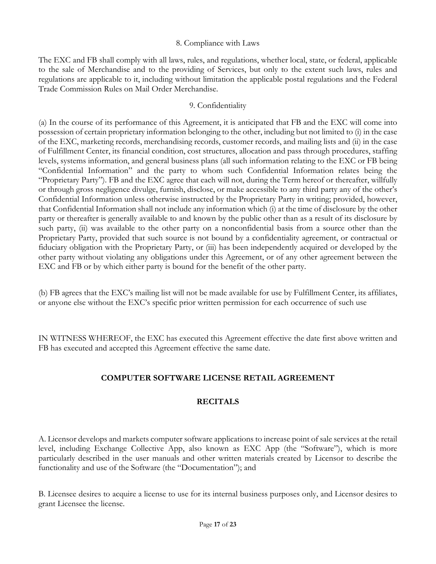#### 8. Compliance with Laws

The EXC and FB shall comply with all laws, rules, and regulations, whether local, state, or federal, applicable to the sale of Merchandise and to the providing of Services, but only to the extent such laws, rules and regulations are applicable to it, including without limitation the applicable postal regulations and the Federal Trade Commission Rules on Mail Order Merchandise.

#### 9. Confidentiality

(a) In the course of its performance of this Agreement, it is anticipated that FB and the EXC will come into possession of certain proprietary information belonging to the other, including but not limited to (i) in the case of the EXC, marketing records, merchandising records, customer records, and mailing lists and (ii) in the case of Fulfillment Center, its financial condition, cost structures, allocation and pass through procedures, staffing levels, systems information, and general business plans (all such information relating to the EXC or FB being "Confidential Information" and the party to whom such Confidential Information relates being the "Proprietary Party"). FB and the EXC agree that each will not, during the Term hereof or thereafter, willfully or through gross negligence divulge, furnish, disclose, or make accessible to any third party any of the other's Confidential Information unless otherwise instructed by the Proprietary Party in writing; provided, however, that Confidential Information shall not include any information which (i) at the time of disclosure by the other party or thereafter is generally available to and known by the public other than as a result of its disclosure by such party, (ii) was available to the other party on a nonconfidential basis from a source other than the Proprietary Party, provided that such source is not bound by a confidentiality agreement, or contractual or fiduciary obligation with the Proprietary Party, or (iii) has been independently acquired or developed by the other party without violating any obligations under this Agreement, or of any other agreement between the EXC and FB or by which either party is bound for the benefit of the other party.

(b) FB agrees that the EXC's mailing list will not be made available for use by Fulfillment Center, its affiliates, or anyone else without the EXC's specific prior written permission for each occurrence of such use

IN WITNESS WHEREOF, the EXC has executed this Agreement effective the date first above written and FB has executed and accepted this Agreement effective the same date.

# **COMPUTER SOFTWARE LICENSE RETAIL AGREEMENT**

# **RECITALS**

A. Licensor develops and markets computer software applications to increase point of sale services at the retail level, including Exchange Collective App, also known as EXC App (the "Software"), which is more particularly described in the user manuals and other written materials created by Licensor to describe the functionality and use of the Software (the "Documentation"); and

B. Licensee desires to acquire a license to use for its internal business purposes only, and Licensor desires to grant Licensee the license.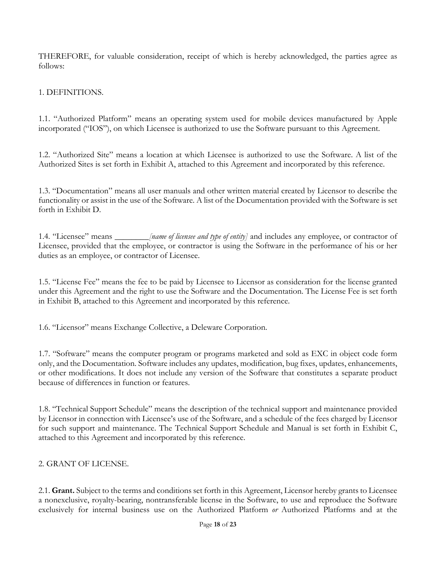THEREFORE, for valuable consideration, receipt of which is hereby acknowledged, the parties agree as follows:

# 1. DEFINITIONS.

1.1. "Authorized Platform" means an operating system used for mobile devices manufactured by Apple incorporated ("IOS"), on which Licensee is authorized to use the Software pursuant to this Agreement.

1.2. "Authorized Site" means a location at which Licensee is authorized to use the Software. A list of the Authorized Sites is set forth in Exhibit A, attached to this Agreement and incorporated by this reference.

1.3. "Documentation" means all user manuals and other written material created by Licensor to describe the functionality or assist in the use of the Software. A list of the Documentation provided with the Software is set forth in Exhibit D.

1.4. "Licensee" means \_\_\_\_\_\_\_\_*[name of licensee and type of entity]* and includes any employee, or contractor of Licensee, provided that the employee, or contractor is using the Software in the performance of his or her duties as an employee, or contractor of Licensee.

1.5. "License Fee" means the fee to be paid by Licensee to Licensor as consideration for the license granted under this Agreement and the right to use the Software and the Documentation. The License Fee is set forth in Exhibit B, attached to this Agreement and incorporated by this reference.

1.6. "Licensor" means Exchange Collective, a Deleware Corporation.

1.7. "Software" means the computer program or programs marketed and sold as EXC in object code form only, and the Documentation. Software includes any updates, modification, bug fixes, updates, enhancements, or other modifications. It does not include any version of the Software that constitutes a separate product because of differences in function or features.

1.8. "Technical Support Schedule" means the description of the technical support and maintenance provided by Licensor in connection with Licensee's use of the Software, and a schedule of the fees charged by Licensor for such support and maintenance. The Technical Support Schedule and Manual is set forth in Exhibit C, attached to this Agreement and incorporated by this reference.

# 2. GRANT OF LICENSE.

2.1. **Grant.** Subject to the terms and conditions set forth in this Agreement, Licensor hereby grants to Licensee a nonexclusive, royalty-bearing, nontransferable license in the Software, to use and reproduce the Software exclusively for internal business use on the Authorized Platform *or* Authorized Platforms and at the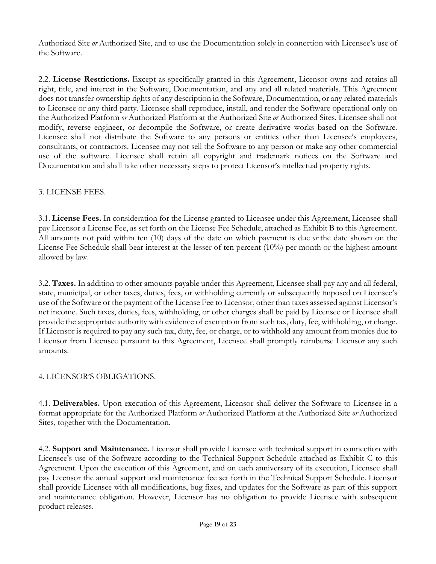Authorized Site *or* Authorized Site, and to use the Documentation solely in connection with Licensee's use of the Software.

2.2. **License Restrictions.** Except as specifically granted in this Agreement, Licensor owns and retains all right, title, and interest in the Software, Documentation, and any and all related materials. This Agreement does not transfer ownership rights of any description in the Software, Documentation, or any related materials to Licensee or any third party. Licensee shall reproduce, install, and render the Software operational only on the Authorized Platform *or* Authorized Platform at the Authorized Site *or* Authorized Sites. Licensee shall not modify, reverse engineer, or decompile the Software, or create derivative works based on the Software. Licensee shall not distribute the Software to any persons or entities other than Licensee's employees, consultants, or contractors. Licensee may not sell the Software to any person or make any other commercial use of the software. Licensee shall retain all copyright and trademark notices on the Software and Documentation and shall take other necessary steps to protect Licensor's intellectual property rights.

# 3. LICENSE FEES.

3.1. **License Fees.** In consideration for the License granted to Licensee under this Agreement, Licensee shall pay Licensor a License Fee, as set forth on the License Fee Schedule, attached as Exhibit B to this Agreement. All amounts not paid within ten (10) days of the date on which payment is due *or* the date shown on the License Fee Schedule shall bear interest at the lesser of ten percent (10%) per month or the highest amount allowed by law.

3.2. **Taxes.** In addition to other amounts payable under this Agreement, Licensee shall pay any and all federal, state, municipal, or other taxes, duties, fees, or withholding currently or subsequently imposed on Licensee's use of the Software or the payment of the License Fee to Licensor, other than taxes assessed against Licensor's net income. Such taxes, duties, fees, withholding, or other charges shall be paid by Licensee or Licensee shall provide the appropriate authority with evidence of exemption from such tax, duty, fee, withholding, or charge. If Licensor is required to pay any such tax, duty, fee, or charge, or to withhold any amount from monies due to Licensor from Licensee pursuant to this Agreement, Licensee shall promptly reimburse Licensor any such amounts.

# 4. LICENSOR'S OBLIGATIONS.

4.1. **Deliverables.** Upon execution of this Agreement, Licensor shall deliver the Software to Licensee in a format appropriate for the Authorized Platform *or* Authorized Platform at the Authorized Site *or* Authorized Sites, together with the Documentation.

4.2. **Support and Maintenance.** Licensor shall provide Licensee with technical support in connection with Licensee's use of the Software according to the Technical Support Schedule attached as Exhibit C to this Agreement. Upon the execution of this Agreement, and on each anniversary of its execution, Licensee shall pay Licensor the annual support and maintenance fee set forth in the Technical Support Schedule. Licensor shall provide Licensee with all modifications, bug fixes, and updates for the Software as part of this support and maintenance obligation. However, Licensor has no obligation to provide Licensee with subsequent product releases.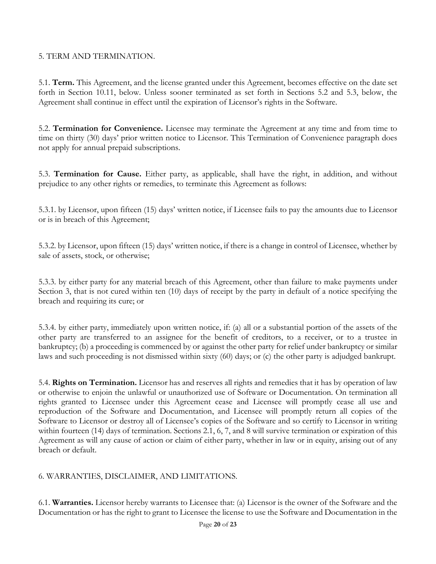### 5. TERM AND TERMINATION.

5.1. **Term.** This Agreement, and the license granted under this Agreement, becomes effective on the date set forth in Section 10.11, below. Unless sooner terminated as set forth in Sections 5.2 and 5.3, below, the Agreement shall continue in effect until the expiration of Licensor's rights in the Software.

5.2. **Termination for Convenience.** Licensee may terminate the Agreement at any time and from time to time on thirty (30) days' prior written notice to Licensor. This Termination of Convenience paragraph does not apply for annual prepaid subscriptions.

5.3. **Termination for Cause.** Either party, as applicable, shall have the right, in addition, and without prejudice to any other rights or remedies, to terminate this Agreement as follows:

5.3.1. by Licensor, upon fifteen (15) days' written notice, if Licensee fails to pay the amounts due to Licensor or is in breach of this Agreement;

5.3.2. by Licensor, upon fifteen (15) days' written notice, if there is a change in control of Licensee, whether by sale of assets, stock, or otherwise;

5.3.3. by either party for any material breach of this Agreement, other than failure to make payments under Section 3, that is not cured within ten (10) days of receipt by the party in default of a notice specifying the breach and requiring its cure; or

5.3.4. by either party, immediately upon written notice, if: (a) all or a substantial portion of the assets of the other party are transferred to an assignee for the benefit of creditors, to a receiver, or to a trustee in bankruptcy; (b) a proceeding is commenced by or against the other party for relief under bankruptcy or similar laws and such proceeding is not dismissed within sixty (60) days; or (c) the other party is adjudged bankrupt.

5.4. **Rights on Termination.** Licensor has and reserves all rights and remedies that it has by operation of law or otherwise to enjoin the unlawful or unauthorized use of Software or Documentation. On termination all rights granted to Licensee under this Agreement cease and Licensee will promptly cease all use and reproduction of the Software and Documentation, and Licensee will promptly return all copies of the Software to Licensor or destroy all of Licensee's copies of the Software and so certify to Licensor in writing within fourteen (14) days of termination. Sections 2.1, 6, 7, and 8 will survive termination or expiration of this Agreement as will any cause of action or claim of either party, whether in law or in equity, arising out of any breach or default.

# 6. WARRANTIES, DISCLAIMER, AND LIMITATIONS.

6.1. **Warranties.** Licensor hereby warrants to Licensee that: (a) Licensor is the owner of the Software and the Documentation or has the right to grant to Licensee the license to use the Software and Documentation in the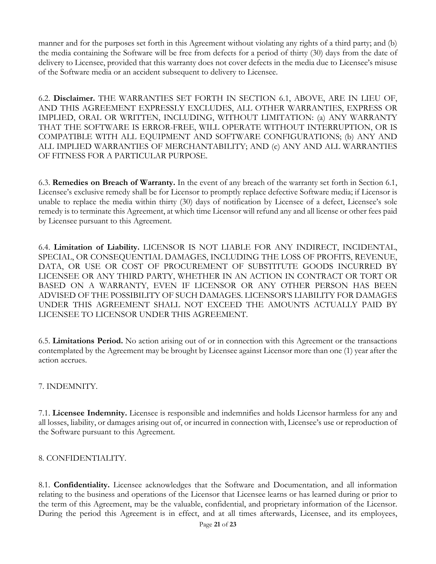manner and for the purposes set forth in this Agreement without violating any rights of a third party; and (b) the media containing the Software will be free from defects for a period of thirty (30) days from the date of delivery to Licensee, provided that this warranty does not cover defects in the media due to Licensee's misuse of the Software media or an accident subsequent to delivery to Licensee.

6.2. **Disclaimer.** THE WARRANTIES SET FORTH IN SECTION 6.1, ABOVE, ARE IN LIEU OF, AND THIS AGREEMENT EXPRESSLY EXCLUDES, ALL OTHER WARRANTIES, EXPRESS OR IMPLIED, ORAL OR WRITTEN, INCLUDING, WITHOUT LIMITATION: (a) ANY WARRANTY THAT THE SOFTWARE IS ERROR-FREE, WILL OPERATE WITHOUT INTERRUPTION, OR IS COMPATIBLE WITH ALL EQUIPMENT AND SOFTWARE CONFIGURATIONS; (b) ANY AND ALL IMPLIED WARRANTIES OF MERCHANTABILITY; AND (c) ANY AND ALL WARRANTIES OF FITNESS FOR A PARTICULAR PURPOSE.

6.3. **Remedies on Breach of Warranty.** In the event of any breach of the warranty set forth in Section 6.1, Licensee's exclusive remedy shall be for Licensor to promptly replace defective Software media; if Licensor is unable to replace the media within thirty (30) days of notification by Licensee of a defect, Licensee's sole remedy is to terminate this Agreement, at which time Licensor will refund any and all license or other fees paid by Licensee pursuant to this Agreement.

6.4. **Limitation of Liability.** LICENSOR IS NOT LIABLE FOR ANY INDIRECT, INCIDENTAL, SPECIAL, OR CONSEQUENTIAL DAMAGES, INCLUDING THE LOSS OF PROFITS, REVENUE, DATA, OR USE OR COST OF PROCUREMENT OF SUBSTITUTE GOODS INCURRED BY LICENSEE OR ANY THIRD PARTY, WHETHER IN AN ACTION IN CONTRACT OR TORT OR BASED ON A WARRANTY, EVEN IF LICENSOR OR ANY OTHER PERSON HAS BEEN ADVISED OF THE POSSIBILITY OF SUCH DAMAGES. LICENSOR'S LIABILITY FOR DAMAGES UNDER THIS AGREEMENT SHALL NOT EXCEED THE AMOUNTS ACTUALLY PAID BY LICENSEE TO LICENSOR UNDER THIS AGREEMENT.

6.5. **Limitations Period.** No action arising out of or in connection with this Agreement or the transactions contemplated by the Agreement may be brought by Licensee against Licensor more than one (1) year after the action accrues.

# 7. INDEMNITY.

7.1. **Licensee Indemnity.** Licensee is responsible and indemnifies and holds Licensor harmless for any and all losses, liability, or damages arising out of, or incurred in connection with, Licensee's use or reproduction of the Software pursuant to this Agreement.

# 8. CONFIDENTIALITY.

8.1. **Confidentiality.** Licensee acknowledges that the Software and Documentation, and all information relating to the business and operations of the Licensor that Licensee learns or has learned during or prior to the term of this Agreement, may be the valuable, confidential, and proprietary information of the Licensor. During the period this Agreement is in effect, and at all times afterwards, Licensee, and its employees,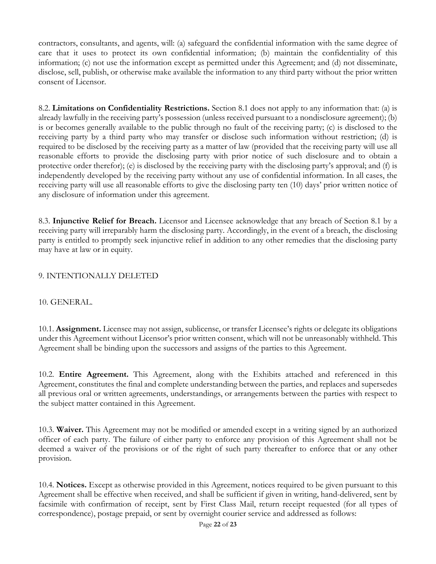contractors, consultants, and agents, will: (a) safeguard the confidential information with the same degree of care that it uses to protect its own confidential information; (b) maintain the confidentiality of this information; (c) not use the information except as permitted under this Agreement; and (d) not disseminate, disclose, sell, publish, or otherwise make available the information to any third party without the prior written consent of Licensor.

8.2. **Limitations on Confidentiality Restrictions.** Section 8.1 does not apply to any information that: (a) is already lawfully in the receiving party's possession (unless received pursuant to a nondisclosure agreement); (b) is or becomes generally available to the public through no fault of the receiving party; (c) is disclosed to the receiving party by a third party who may transfer or disclose such information without restriction; (d) is required to be disclosed by the receiving party as a matter of law (provided that the receiving party will use all reasonable efforts to provide the disclosing party with prior notice of such disclosure and to obtain a protective order therefor); (e) is disclosed by the receiving party with the disclosing party's approval; and (f) is independently developed by the receiving party without any use of confidential information. In all cases, the receiving party will use all reasonable efforts to give the disclosing party ten (10) days' prior written notice of any disclosure of information under this agreement.

8.3. **Injunctive Relief for Breach.** Licensor and Licensee acknowledge that any breach of Section 8.1 by a receiving party will irreparably harm the disclosing party. Accordingly, in the event of a breach, the disclosing party is entitled to promptly seek injunctive relief in addition to any other remedies that the disclosing party may have at law or in equity.

# 9. INTENTIONALLY DELETED

### 10. GENERAL.

10.1. **Assignment.** Licensee may not assign, sublicense, or transfer Licensee's rights or delegate its obligations under this Agreement without Licensor's prior written consent, which will not be unreasonably withheld. This Agreement shall be binding upon the successors and assigns of the parties to this Agreement.

10.2. **Entire Agreement.** This Agreement, along with the Exhibits attached and referenced in this Agreement, constitutes the final and complete understanding between the parties, and replaces and supersedes all previous oral or written agreements, understandings, or arrangements between the parties with respect to the subject matter contained in this Agreement.

10.3. **Waiver.** This Agreement may not be modified or amended except in a writing signed by an authorized officer of each party. The failure of either party to enforce any provision of this Agreement shall not be deemed a waiver of the provisions or of the right of such party thereafter to enforce that or any other provision.

10.4. **Notices.** Except as otherwise provided in this Agreement, notices required to be given pursuant to this Agreement shall be effective when received, and shall be sufficient if given in writing, hand-delivered, sent by facsimile with confirmation of receipt, sent by First Class Mail, return receipt requested (for all types of correspondence), postage prepaid, or sent by overnight courier service and addressed as follows: